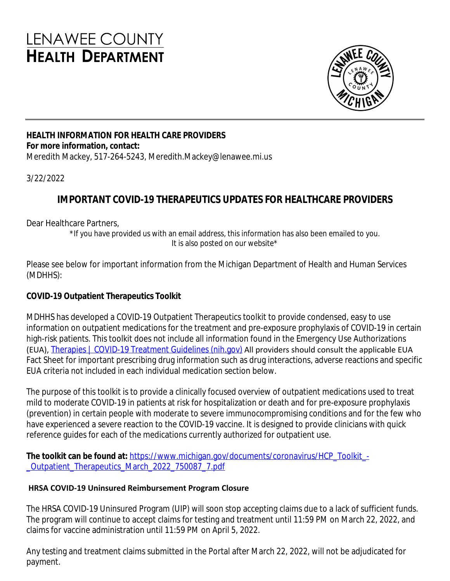# **LENAWEE COUNTY HEALTH DEPARTMENT**



## **HEALTH INFORMATION FOR HEALTH CARE PROVIDERS For more information, contact:**

Meredith Mackey, 517-264-5243, Meredith.Mackey@lenawee.mi.us

#### 3/22/2022

# **IMPORTANT COVID-19 THERAPEUTICS UPDATES FOR HEALTHCARE PROVIDERS**

Dear Healthcare Partners,

\*If you have provided us with an email address, this information has also been emailed to you. It is also posted on our website\*

Please see below for important information from the Michigan Department of Health and Human Services (MDHHS):

# **COVID-19 Outpatient Therapeutics Toolkit**

MDHHS has developed a COVID-19 Outpatient Therapeutics toolkit to provide condensed, easy to use information on outpatient medications for the treatment and pre-exposure prophylaxis of COVID-19 in certain high-risk patients. This toolkit does not include all information found in the Emergency Use Authorizations (EUA), [Therapies | COVID-19 Treatment Guidelines \(nih.gov\)](https://gcc02.safelinks.protection.outlook.com/?url=https%3A%2F%2Fwww.covid19treatmentguidelines.nih.gov%2Ftherapies%2F&data=04%7C01%7CMDHHS-CHECCComms%40michigan.gov%7Ca1732d17051f4539265208da09114c3f%7Cd5fb7087377742ad966a892ef47225d1%7C0%7C0%7C637832267135980491%7CUnknown%7CTWFpbGZsb3d8eyJWIjoiMC4wLjAwMDAiLCJQIjoiV2luMzIiLCJBTiI6Ik1haWwiLCJXVCI6Mn0%3D%7C3000&sdata=DXz923F2aGbNuaa7CW5qpy33SFrrgeXDap%2Flxeo8HpM%3D&reserved=0) All providers should consult the applicable EUA Fact Sheet for important prescribing drug information such as drug interactions, adverse reactions and specific EUA criteria not included in each individual medication section below.

The purpose of this toolkit is to provide a clinically focused overview of outpatient medications used to treat mild to moderate COVID-19 in patients at risk for hospitalization or death and for pre-exposure prophylaxis (prevention) in certain people with moderate to severe immunocompromising conditions and for the few who have experienced a severe reaction to the COVID-19 vaccine. It is designed to provide clinicians with quick reference guides for each of the medications currently authorized for outpatient use.

The toolkit can be found at: [https://www.michigan.gov/documents/coronavirus/HCP\\_Toolkit\\_-](https://www.michigan.gov/documents/coronavirus/HCP_Toolkit_-_Outpatient_Therapeutics_March_2022_750087_7.pdf) \_Outpatient\_Therapeutics\_March\_2022\_750087\_7.pdf

### **HRSA COVID-19 Uninsured Reimbursement Program Closure**

The HRSA COVID-19 Uninsured Program (UIP) will soon stop accepting claims due to a lack of sufficient funds. The program will continue to accept claims for testing and treatment until 11:59 PM on March 22, 2022, and claims for vaccine administration until 11:59 PM on April 5, 2022.

Any testing and treatment claims submitted in the Portal after March 22, 2022, will not be adjudicated for payment.